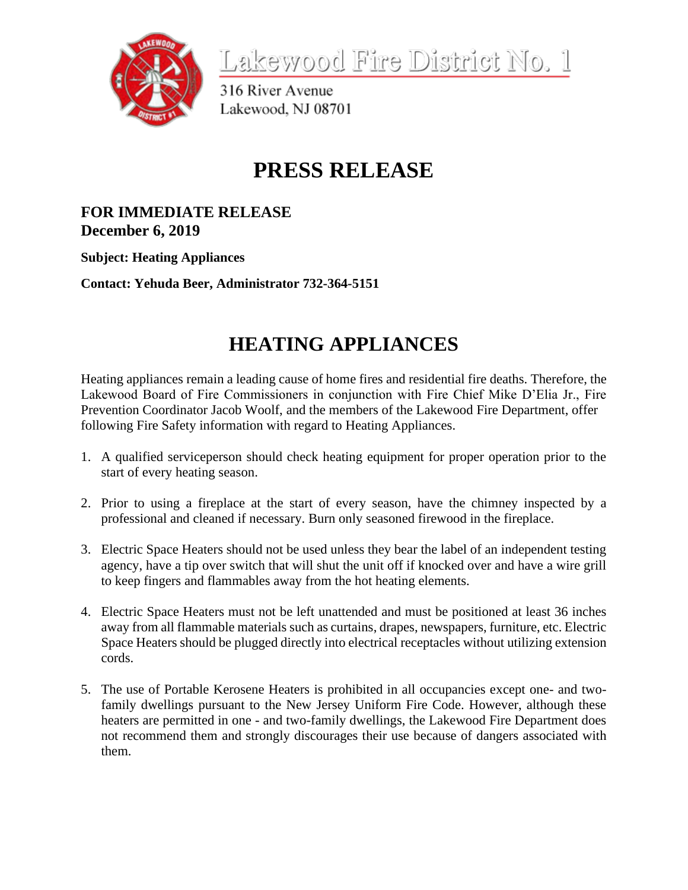

<u>Lakewood Fire District No. 1</u>

316 River Avenue Lakewood, NJ 08701

## **PRESS RELEASE**

## **FOR IMMEDIATE RELEASE December 6, 2019**

**Subject: Heating Appliances**

**Contact: Yehuda Beer, Administrator 732-364-5151**

## **HEATING APPLIANCES**

Heating appliances remain a leading cause of home fires and residential fire deaths. Therefore, the Lakewood Board of Fire Commissioners in conjunction with Fire Chief Mike D'Elia Jr., Fire Prevention Coordinator Jacob Woolf, and the members of the Lakewood Fire Department, offer following Fire Safety information with regard to Heating Appliances.

- 1. A qualified serviceperson should check heating equipment for proper operation prior to the start of every heating season.
- 2. Prior to using a fireplace at the start of every season, have the chimney inspected by a professional and cleaned if necessary. Burn only seasoned firewood in the fireplace.
- 3. Electric Space Heaters should not be used unless they bear the label of an independent testing agency, have a tip over switch that will shut the unit off if knocked over and have a wire grill to keep fingers and flammables away from the hot heating elements.
- 4. Electric Space Heaters must not be left unattended and must be positioned at least 36 inches away from all flammable materials such as curtains, drapes, newspapers, furniture, etc. Electric Space Heaters should be plugged directly into electrical receptacles without utilizing extension cords.
- 5. The use of Portable Kerosene Heaters is prohibited in all occupancies except one- and twofamily dwellings pursuant to the New Jersey Uniform Fire Code. However, although these heaters are permitted in one - and two-family dwellings, the Lakewood Fire Department does not recommend them and strongly discourages their use because of dangers associated with them.